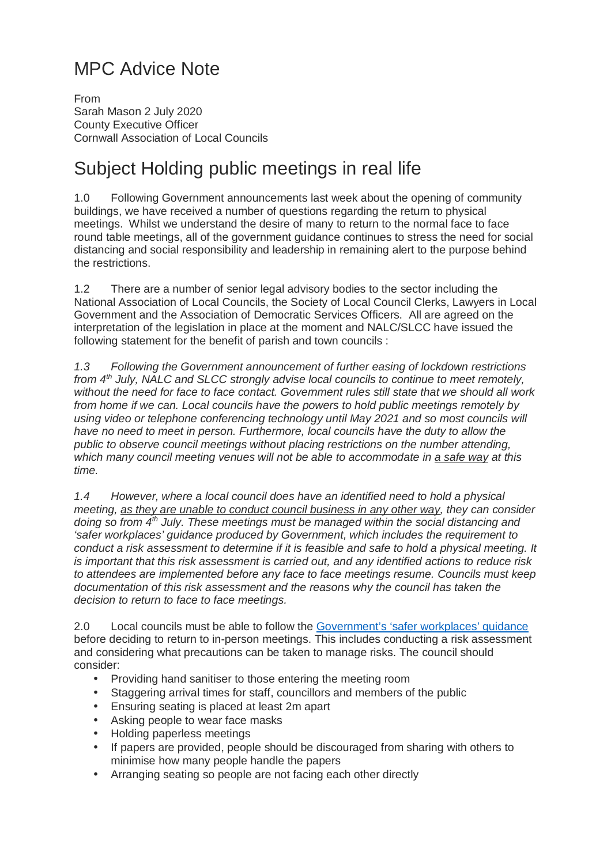## MPC Advice Note

From Sarah Mason 2 July 2020 County Executive Officer Cornwall Association of Local Councils

## Subject Holding public meetings in real life

1.0 Following Government announcements last week about the opening of community buildings, we have received a number of questions regarding the return to physical meetings. Whilst we understand the desire of many to return to the normal face to face round table meetings, all of the government guidance continues to stress the need for social distancing and social responsibility and leadership in remaining alert to the purpose behind the restrictions.

1.2 There are a number of senior legal advisory bodies to the sector including the National Association of Local Councils, the Society of Local Council Clerks, Lawyers in Local Government and the Association of Democratic Services Officers. All are agreed on the interpretation of the legislation in place at the moment and NALC/SLCC have issued the following statement for the benefit of parish and town councils :

1.3 Following the Government announcement of further easing of lockdown restrictions from 4<sup>th</sup> July, NALC and SLCC strongly advise local councils to continue to meet remotely, without the need for face to face contact. Government rules still state that we should all work from home if we can. Local councils have the powers to hold public meetings remotely by using video or telephone conferencing technology until May 2021 and so most councils will have no need to meet in person. Furthermore, local councils have the duty to allow the public to observe council meetings without placing restrictions on the number attending, which many council meeting venues will not be able to accommodate in a safe way at this time.

1.4 However, where a local council does have an identified need to hold a physical meeting, as they are unable to conduct council business in any other way, they can consider doing so from  $4<sup>th</sup>$  July. These meetings must be managed within the social distancing and 'safer workplaces' guidance produced by Government, which includes the requirement to conduct a risk assessment to determine if it is feasible and safe to hold a physical meeting. It is important that this risk assessment is carried out, and any identified actions to reduce risk to attendees are implemented before any face to face meetings resume. Councils must keep documentation of this risk assessment and the reasons why the council has taken the decision to return to face to face meetings.

2.0 Local councils must be able to follow the Government's 'safer workplaces' guidance before deciding to return to in-person meetings. This includes conducting a risk assessment and considering what precautions can be taken to manage risks. The council should consider:

- Providing hand sanitiser to those entering the meeting room
- Staggering arrival times for staff, councillors and members of the public
- Ensuring seating is placed at least 2m apart
- Asking people to wear face masks
- Holding paperless meetings
- If papers are provided, people should be discouraged from sharing with others to minimise how many people handle the papers
- Arranging seating so people are not facing each other directly